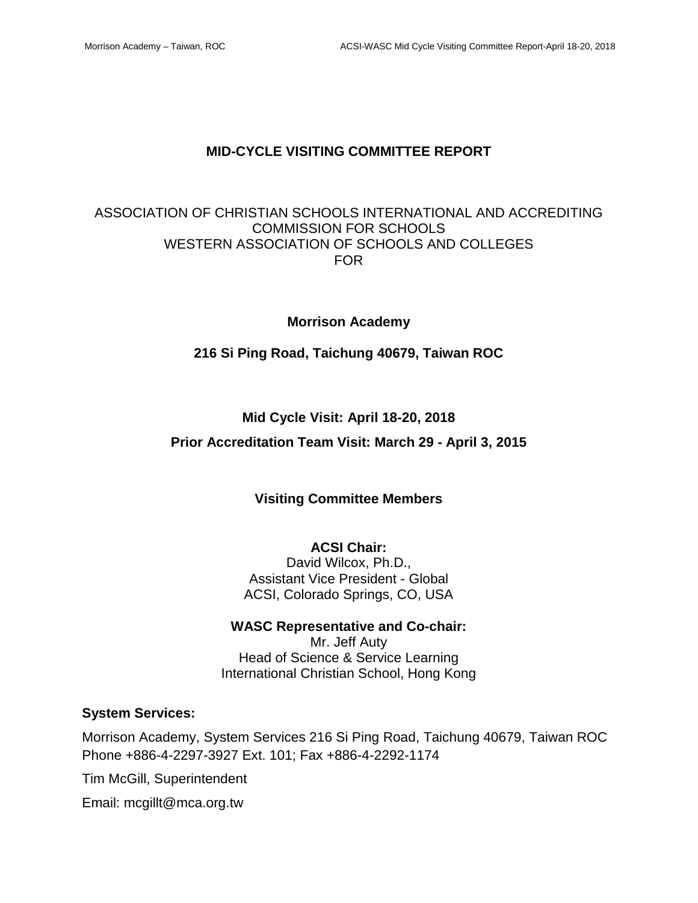### **MID-CYCLE VISITING COMMITTEE REPORT**

### ASSOCIATION OF CHRISTIAN SCHOOLS INTERNATIONAL AND ACCREDITING COMMISSION FOR SCHOOLS WESTERN ASSOCIATION OF SCHOOLS AND COLLEGES FOR

### **Morrison Academy**

### **216 Si Ping Road, Taichung 40679, Taiwan ROC**

### **Mid Cycle Visit: April 18-20, 2018**

### **Prior Accreditation Team Visit: March 29 - April 3, 2015**

### **Visiting Committee Members**

#### **ACSI Chair:**

David Wilcox, Ph.D., Assistant Vice President - Global ACSI, Colorado Springs, CO, USA

# **WASC Representative and Co-chair:**

Mr. Jeff Auty Head of Science & Service Learning International Christian School, Hong Kong

### **System Services:**

Morrison Academy, System Services 216 Si Ping Road, Taichung 40679, Taiwan ROC Phone +886-4-2297-3927 Ext. 101; Fax +886-4-2292-1174

Tim McGill, Superintendent

Email: mcgillt@mca.org.tw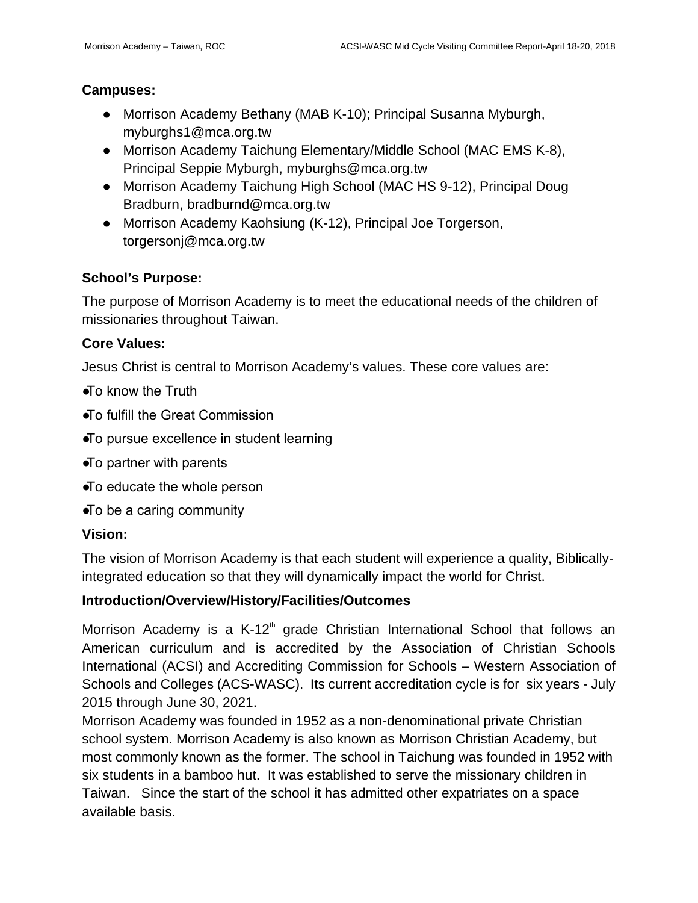# **Campuses:**

- Morrison Academy Bethany (MAB K-10); Principal Susanna Myburgh, myburghs1@mca.org.tw
- Morrison Academy Taichung Elementary/Middle School (MAC EMS K-8), Principal Seppie Myburgh, myburghs@mca.org.tw
- Morrison Academy Taichung High School (MAC HS 9-12), Principal Doug Bradburn, bradburnd@mca.org.tw
- Morrison Academy Kaohsiung (K-12), Principal Joe Torgerson, torgersonj@mca.org.tw

# **School's Purpose:**

The purpose of Morrison Academy is to meet the educational needs of the children of missionaries throughout Taiwan.

# **Core Values:**

Jesus Christ is central to Morrison Academy's values. These core values are:

- ●To know the Truth
- ●To fulfill the Great Commission
- ●To pursue excellence in student learning
- ●To partner with parents
- ●To educate the whole person
- ●To be a caring community

# **Vision:**

The vision of Morrison Academy is that each student will experience a quality, Biblicallyintegrated education so that they will dynamically impact the world for Christ.

# **Introduction/Overview/History/Facilities/Outcomes**

Morrison Academy is a  $K$ -12<sup>th</sup> grade Christian International School that follows an American curriculum and is accredited by the Association of Christian Schools International (ACSI) and Accrediting Commission for Schools – Western Association of Schools and Colleges (ACS-WASC). Its current accreditation cycle is for six years - July 2015 through June 30, 2021.

Morrison Academy was founded in 1952 as a non-denominational private Christian school system. Morrison Academy is also known as Morrison Christian Academy, but most commonly known as the former. The school in Taichung was founded in 1952 with six students in a bamboo hut. It was established to serve the missionary children in Taiwan. Since the start of the school it has admitted other expatriates on a space available basis.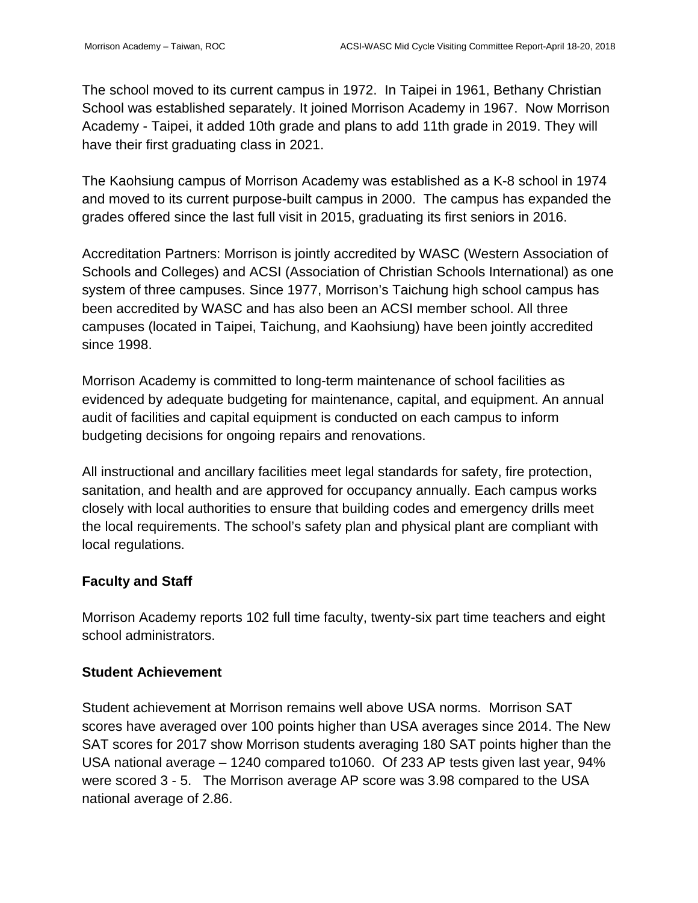The school moved to its current campus in 1972. In Taipei in 1961, Bethany Christian School was established separately. It joined Morrison Academy in 1967. Now Morrison Academy - Taipei, it added 10th grade and plans to add 11th grade in 2019. They will have their first graduating class in 2021.

The Kaohsiung campus of Morrison Academy was established as a K-8 school in 1974 and moved to its current purpose-built campus in 2000. The campus has expanded the grades offered since the last full visit in 2015, graduating its first seniors in 2016.

Accreditation Partners: Morrison is jointly accredited by WASC (Western Association of Schools and Colleges) and ACSI (Association of Christian Schools International) as one system of three campuses. Since 1977, Morrison's Taichung high school campus has been accredited by WASC and has also been an ACSI member school. All three campuses (located in Taipei, Taichung, and Kaohsiung) have been jointly accredited since 1998.

Morrison Academy is committed to long-term maintenance of school facilities as evidenced by adequate budgeting for maintenance, capital, and equipment. An annual audit of facilities and capital equipment is conducted on each campus to inform budgeting decisions for ongoing repairs and renovations.

All instructional and ancillary facilities meet legal standards for safety, fire protection, sanitation, and health and are approved for occupancy annually. Each campus works closely with local authorities to ensure that building codes and emergency drills meet the local requirements. The school's safety plan and physical plant are compliant with local regulations.

# **Faculty and Staff**

Morrison Academy reports 102 full time faculty, twenty-six part time teachers and eight school administrators.

### **Student Achievement**

Student achievement at Morrison remains well above USA norms. Morrison SAT scores have averaged over 100 points higher than USA averages since 2014. The New SAT scores for 2017 show Morrison students averaging 180 SAT points higher than the USA national average – 1240 compared to1060. Of 233 AP tests given last year, 94% were scored 3 - 5. The Morrison average AP score was 3.98 compared to the USA national average of 2.86.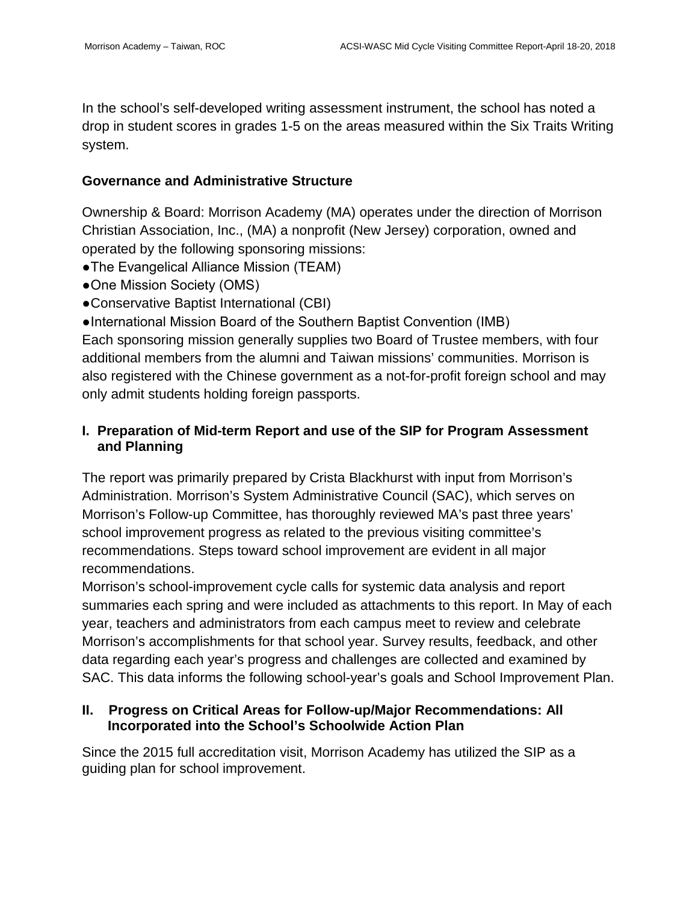In the school's self-developed writing assessment instrument, the school has noted a drop in student scores in grades 1-5 on the areas measured within the Six Traits Writing system.

### **Governance and Administrative Structure**

Ownership & Board: Morrison Academy (MA) operates under the direction of Morrison Christian Association, Inc., (MA) a nonprofit (New Jersey) corporation, owned and operated by the following sponsoring missions:

- The Evangelical Alliance Mission (TEAM)
- One Mission Society (OMS)
- Conservative Baptist International (CBI)

● International Mission Board of the Southern Baptist Convention (IMB) Each sponsoring mission generally supplies two Board of Trustee members, with four additional members from the alumni and Taiwan missions' communities. Morrison is also registered with the Chinese government as a not-for-profit foreign school and may only admit students holding foreign passports.

# **I. Preparation of Mid-term Report and use of the SIP for Program Assessment and Planning**

The report was primarily prepared by Crista Blackhurst with input from Morrison's Administration. Morrison's System Administrative Council (SAC), which serves on Morrison's Follow-up Committee, has thoroughly reviewed MA's past three years' school improvement progress as related to the previous visiting committee's recommendations. Steps toward school improvement are evident in all major recommendations.

Morrison's school-improvement cycle calls for systemic data analysis and report summaries each spring and were included as attachments to this report. In May of each year, teachers and administrators from each campus meet to review and celebrate Morrison's accomplishments for that school year. Survey results, feedback, and other data regarding each year's progress and challenges are collected and examined by SAC. This data informs the following school-year's goals and School Improvement Plan.

### **II. Progress on Critical Areas for Follow-up/Major Recommendations: All Incorporated into the School's Schoolwide Action Plan**

Since the 2015 full accreditation visit, Morrison Academy has utilized the SIP as a guiding plan for school improvement.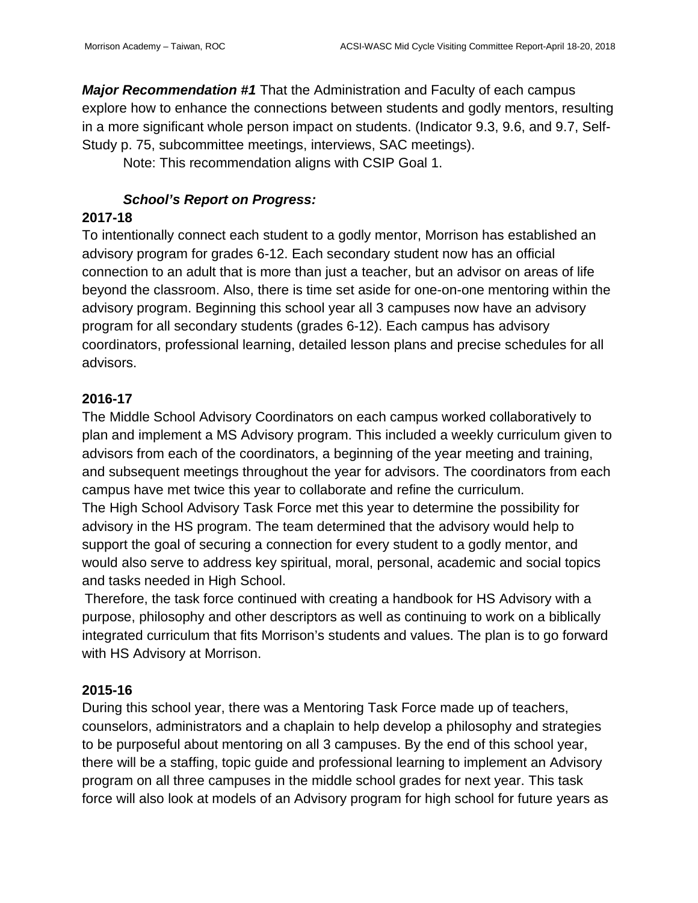*Major Recommendation #1* That the Administration and Faculty of each campus explore how to enhance the connections between students and godly mentors, resulting in a more significant whole person impact on students. (Indicator 9.3, 9.6, and 9.7, Self-Study p. 75, subcommittee meetings, interviews, SAC meetings).

Note: This recommendation aligns with CSIP Goal 1.

# *School's Report on Progress:*

### **2017-18**

To intentionally connect each student to a godly mentor, Morrison has established an advisory program for grades 6-12. Each secondary student now has an official connection to an adult that is more than just a teacher, but an advisor on areas of life beyond the classroom. Also, there is time set aside for one-on-one mentoring within the advisory program. Beginning this school year all 3 campuses now have an advisory program for all secondary students (grades 6-12). Each campus has advisory coordinators, professional learning, detailed lesson plans and precise schedules for all advisors.

### **2016-17**

The Middle School Advisory Coordinators on each campus worked collaboratively to plan and implement a MS Advisory program. This included a weekly curriculum given to advisors from each of the coordinators, a beginning of the year meeting and training, and subsequent meetings throughout the year for advisors. The coordinators from each campus have met twice this year to collaborate and refine the curriculum.

The High School Advisory Task Force met this year to determine the possibility for advisory in the HS program. The team determined that the advisory would help to support the goal of securing a connection for every student to a godly mentor, and would also serve to address key spiritual, moral, personal, academic and social topics and tasks needed in High School.

Therefore, the task force continued with creating a handbook for HS Advisory with a purpose, philosophy and other descriptors as well as continuing to work on a biblically integrated curriculum that fits Morrison's students and values. The plan is to go forward with HS Advisory at Morrison.

# **2015-16**

During this school year, there was a Mentoring Task Force made up of teachers, counselors, administrators and a chaplain to help develop a philosophy and strategies to be purposeful about mentoring on all 3 campuses. By the end of this school year, there will be a staffing, topic guide and professional learning to implement an Advisory program on all three campuses in the middle school grades for next year. This task force will also look at models of an Advisory program for high school for future years as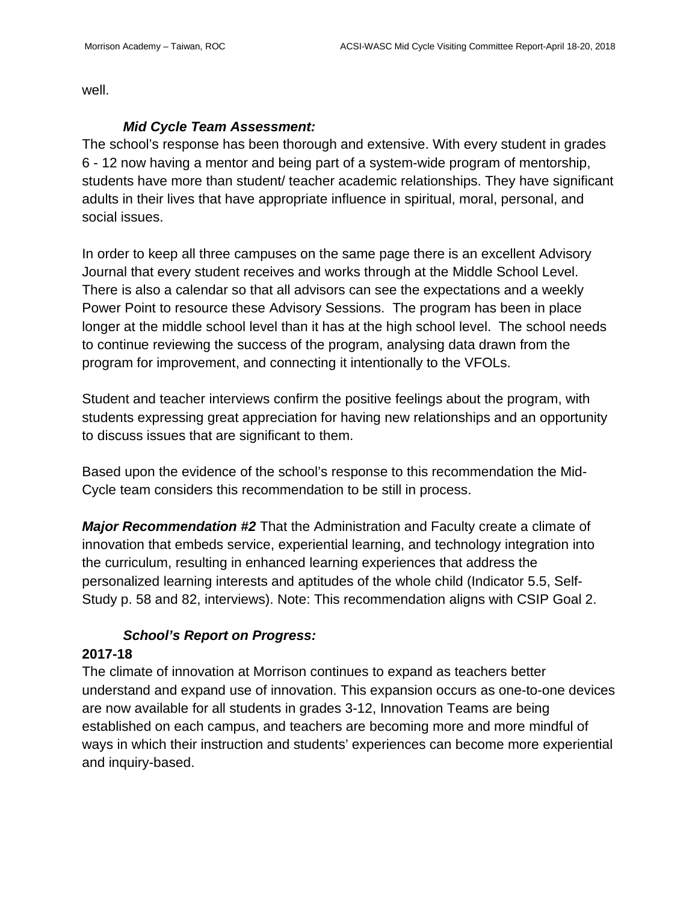well.

### *Mid Cycle Team Assessment:*

The school's response has been thorough and extensive. With every student in grades 6 - 12 now having a mentor and being part of a system-wide program of mentorship, students have more than student/ teacher academic relationships. They have significant adults in their lives that have appropriate influence in spiritual, moral, personal, and social issues.

In order to keep all three campuses on the same page there is an excellent Advisory Journal that every student receives and works through at the Middle School Level. There is also a calendar so that all advisors can see the expectations and a weekly Power Point to resource these Advisory Sessions. The program has been in place longer at the middle school level than it has at the high school level. The school needs to continue reviewing the success of the program, analysing data drawn from the program for improvement, and connecting it intentionally to the VFOLs.

Student and teacher interviews confirm the positive feelings about the program, with students expressing great appreciation for having new relationships and an opportunity to discuss issues that are significant to them.

Based upon the evidence of the school's response to this recommendation the Mid-Cycle team considers this recommendation to be still in process.

*Major Recommendation #2* That the Administration and Faculty create a climate of innovation that embeds service, experiential learning, and technology integration into the curriculum, resulting in enhanced learning experiences that address the personalized learning interests and aptitudes of the whole child (Indicator 5.5, Self-Study p. 58 and 82, interviews). Note: This recommendation aligns with CSIP Goal 2.

# *School's Report on Progress:*

### **2017-18**

The climate of innovation at Morrison continues to expand as teachers better understand and expand use of innovation. This expansion occurs as one-to-one devices are now available for all students in grades 3-12, Innovation Teams are being established on each campus, and teachers are becoming more and more mindful of ways in which their instruction and students' experiences can become more experiential and inquiry-based.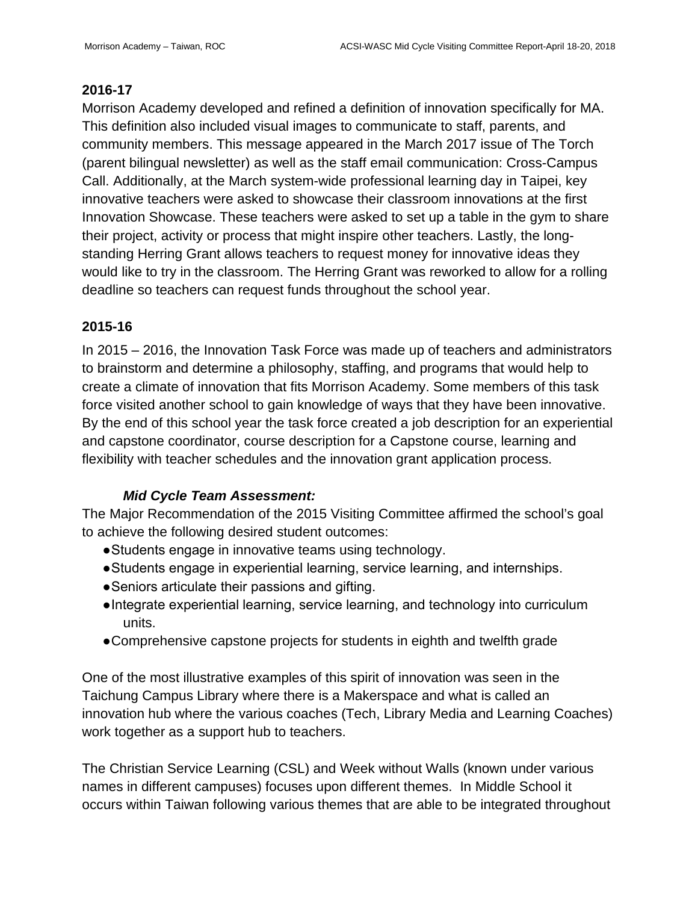### **2016-17**

Morrison Academy developed and refined a definition of innovation specifically for MA. This definition also included visual images to communicate to staff, parents, and community members. This message appeared in the March 2017 issue of The Torch (parent bilingual newsletter) as well as the staff email communication: Cross-Campus Call. Additionally, at the March system-wide professional learning day in Taipei, key innovative teachers were asked to showcase their classroom innovations at the first Innovation Showcase. These teachers were asked to set up a table in the gym to share their project, activity or process that might inspire other teachers. Lastly, the longstanding Herring Grant allows teachers to request money for innovative ideas they would like to try in the classroom. The Herring Grant was reworked to allow for a rolling deadline so teachers can request funds throughout the school year.

# **2015-16**

In 2015 – 2016, the Innovation Task Force was made up of teachers and administrators to brainstorm and determine a philosophy, staffing, and programs that would help to create a climate of innovation that fits Morrison Academy. Some members of this task force visited another school to gain knowledge of ways that they have been innovative. By the end of this school year the task force created a job description for an experiential and capstone coordinator, course description for a Capstone course, learning and flexibility with teacher schedules and the innovation grant application process.

### *Mid Cycle Team Assessment:*

The Major Recommendation of the 2015 Visiting Committee affirmed the school's goal to achieve the following desired student outcomes:

- Students engage in innovative teams using technology.
- Students engage in experiential learning, service learning, and internships.
- Seniors articulate their passions and gifting.
- Integrate experiential learning, service learning, and technology into curriculum units.
- Comprehensive capstone projects for students in eighth and twelfth grade

One of the most illustrative examples of this spirit of innovation was seen in the Taichung Campus Library where there is a Makerspace and what is called an innovation hub where the various coaches (Tech, Library Media and Learning Coaches) work together as a support hub to teachers.

The Christian Service Learning (CSL) and Week without Walls (known under various names in different campuses) focuses upon different themes. In Middle School it occurs within Taiwan following various themes that are able to be integrated throughout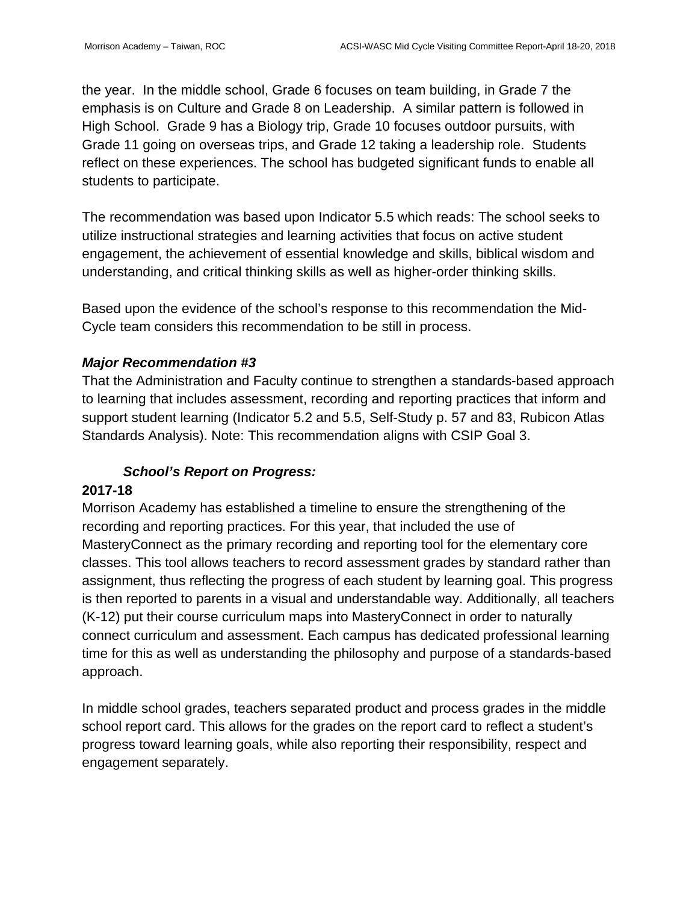the year. In the middle school, Grade 6 focuses on team building, in Grade 7 the emphasis is on Culture and Grade 8 on Leadership. A similar pattern is followed in High School. Grade 9 has a Biology trip, Grade 10 focuses outdoor pursuits, with Grade 11 going on overseas trips, and Grade 12 taking a leadership role. Students reflect on these experiences. The school has budgeted significant funds to enable all students to participate.

The recommendation was based upon Indicator 5.5 which reads: The school seeks to utilize instructional strategies and learning activities that focus on active student engagement, the achievement of essential knowledge and skills, biblical wisdom and understanding, and critical thinking skills as well as higher-order thinking skills.

Based upon the evidence of the school's response to this recommendation the Mid-Cycle team considers this recommendation to be still in process.

### *Major Recommendation #3*

That the Administration and Faculty continue to strengthen a standards-based approach to learning that includes assessment, recording and reporting practices that inform and support student learning (Indicator 5.2 and 5.5, Self-Study p. 57 and 83, Rubicon Atlas Standards Analysis). Note: This recommendation aligns with CSIP Goal 3.

#### *School's Report on Progress:*

#### **2017-18**

Morrison Academy has established a timeline to ensure the strengthening of the recording and reporting practices. For this year, that included the use of MasteryConnect as the primary recording and reporting tool for the elementary core classes. This tool allows teachers to record assessment grades by standard rather than assignment, thus reflecting the progress of each student by learning goal. This progress is then reported to parents in a visual and understandable way. Additionally, all teachers (K-12) put their course curriculum maps into MasteryConnect in order to naturally connect curriculum and assessment. Each campus has dedicated professional learning time for this as well as understanding the philosophy and purpose of a standards-based approach.

In middle school grades, teachers separated product and process grades in the middle school report card. This allows for the grades on the report card to reflect a student's progress toward learning goals, while also reporting their responsibility, respect and engagement separately.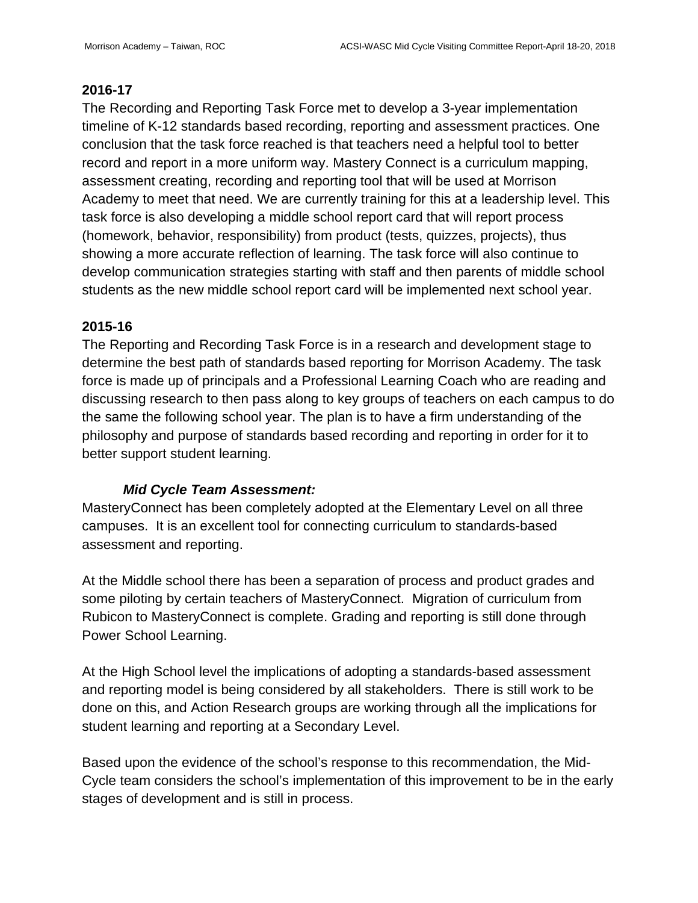### **2016-17**

The Recording and Reporting Task Force met to develop a 3-year implementation timeline of K-12 standards based recording, reporting and assessment practices. One conclusion that the task force reached is that teachers need a helpful tool to better record and report in a more uniform way. Mastery Connect is a curriculum mapping, assessment creating, recording and reporting tool that will be used at Morrison Academy to meet that need. We are currently training for this at a leadership level. This task force is also developing a middle school report card that will report process (homework, behavior, responsibility) from product (tests, quizzes, projects), thus showing a more accurate reflection of learning. The task force will also continue to develop communication strategies starting with staff and then parents of middle school students as the new middle school report card will be implemented next school year.

# **2015-16**

The Reporting and Recording Task Force is in a research and development stage to determine the best path of standards based reporting for Morrison Academy. The task force is made up of principals and a Professional Learning Coach who are reading and discussing research to then pass along to key groups of teachers on each campus to do the same the following school year. The plan is to have a firm understanding of the philosophy and purpose of standards based recording and reporting in order for it to better support student learning.

# *Mid Cycle Team Assessment:*

MasteryConnect has been completely adopted at the Elementary Level on all three campuses. It is an excellent tool for connecting curriculum to standards-based assessment and reporting.

At the Middle school there has been a separation of process and product grades and some piloting by certain teachers of MasteryConnect. Migration of curriculum from Rubicon to MasteryConnect is complete. Grading and reporting is still done through Power School Learning.

At the High School level the implications of adopting a standards-based assessment and reporting model is being considered by all stakeholders. There is still work to be done on this, and Action Research groups are working through all the implications for student learning and reporting at a Secondary Level.

Based upon the evidence of the school's response to this recommendation, the Mid-Cycle team considers the school's implementation of this improvement to be in the early stages of development and is still in process.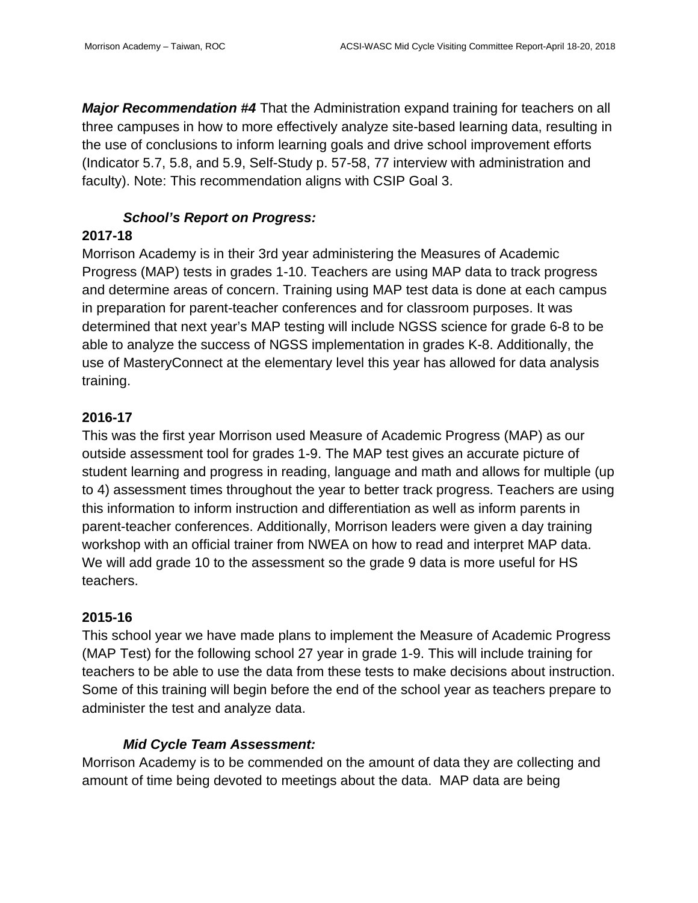*Major Recommendation #4* That the Administration expand training for teachers on all three campuses in how to more effectively analyze site-based learning data, resulting in the use of conclusions to inform learning goals and drive school improvement efforts (Indicator 5.7, 5.8, and 5.9, Self-Study p. 57-58, 77 interview with administration and faculty). Note: This recommendation aligns with CSIP Goal 3.

### *School's Report on Progress:*

### **2017-18**

Morrison Academy is in their 3rd year administering the Measures of Academic Progress (MAP) tests in grades 1-10. Teachers are using MAP data to track progress and determine areas of concern. Training using MAP test data is done at each campus in preparation for parent-teacher conferences and for classroom purposes. It was determined that next year's MAP testing will include NGSS science for grade 6-8 to be able to analyze the success of NGSS implementation in grades K-8. Additionally, the use of MasteryConnect at the elementary level this year has allowed for data analysis training.

# **2016-17**

This was the first year Morrison used Measure of Academic Progress (MAP) as our outside assessment tool for grades 1-9. The MAP test gives an accurate picture of student learning and progress in reading, language and math and allows for multiple (up to 4) assessment times throughout the year to better track progress. Teachers are using this information to inform instruction and differentiation as well as inform parents in parent-teacher conferences. Additionally, Morrison leaders were given a day training workshop with an official trainer from NWEA on how to read and interpret MAP data. We will add grade 10 to the assessment so the grade 9 data is more useful for HS teachers.

### **2015-16**

This school year we have made plans to implement the Measure of Academic Progress (MAP Test) for the following school 27 year in grade 1-9. This will include training for teachers to be able to use the data from these tests to make decisions about instruction. Some of this training will begin before the end of the school year as teachers prepare to administer the test and analyze data.

### *Mid Cycle Team Assessment:*

Morrison Academy is to be commended on the amount of data they are collecting and amount of time being devoted to meetings about the data. MAP data are being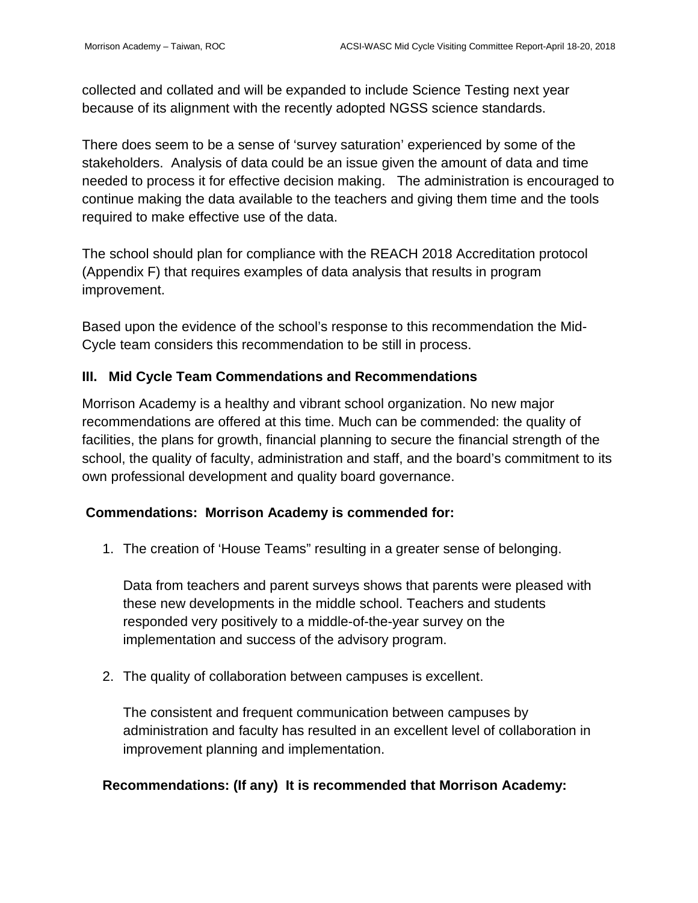collected and collated and will be expanded to include Science Testing next year because of its alignment with the recently adopted NGSS science standards.

There does seem to be a sense of 'survey saturation' experienced by some of the stakeholders. Analysis of data could be an issue given the amount of data and time needed to process it for effective decision making. The administration is encouraged to continue making the data available to the teachers and giving them time and the tools required to make effective use of the data.

The school should plan for compliance with the REACH 2018 Accreditation protocol (Appendix F) that requires examples of data analysis that results in program improvement.

Based upon the evidence of the school's response to this recommendation the Mid-Cycle team considers this recommendation to be still in process.

### **III. Mid Cycle Team Commendations and Recommendations**

Morrison Academy is a healthy and vibrant school organization. No new major recommendations are offered at this time. Much can be commended: the quality of facilities, the plans for growth, financial planning to secure the financial strength of the school, the quality of faculty, administration and staff, and the board's commitment to its own professional development and quality board governance.

### **Commendations: Morrison Academy is commended for:**

1. The creation of 'House Teams" resulting in a greater sense of belonging.

Data from teachers and parent surveys shows that parents were pleased with these new developments in the middle school. Teachers and students responded very positively to a middle-of-the-year survey on the implementation and success of the advisory program.

2. The quality of collaboration between campuses is excellent.

The consistent and frequent communication between campuses by administration and faculty has resulted in an excellent level of collaboration in improvement planning and implementation.

# **Recommendations: (If any) It is recommended that Morrison Academy:**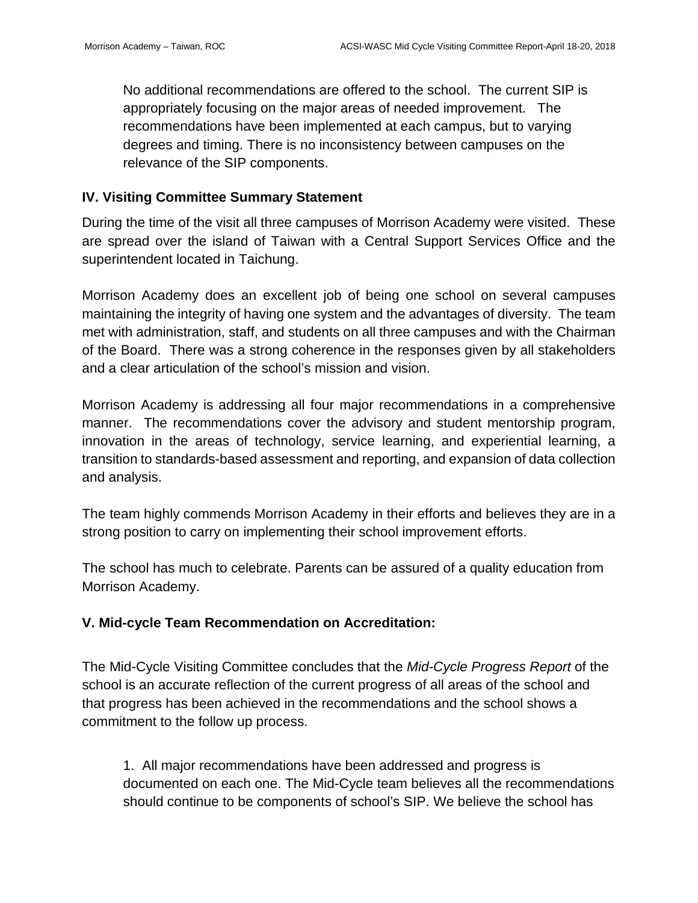No additional recommendations are offered to the school. The current SIP is appropriately focusing on the major areas of needed improvement. The recommendations have been implemented at each campus, but to varying degrees and timing. There is no inconsistency between campuses on the relevance of the SIP components.

### **IV. Visiting Committee Summary Statement**

During the time of the visit all three campuses of Morrison Academy were visited. These are spread over the island of Taiwan with a Central Support Services Office and the superintendent located in Taichung.

Morrison Academy does an excellent job of being one school on several campuses maintaining the integrity of having one system and the advantages of diversity. The team met with administration, staff, and students on all three campuses and with the Chairman of the Board. There was a strong coherence in the responses given by all stakeholders and a clear articulation of the school's mission and vision.

Morrison Academy is addressing all four major recommendations in a comprehensive manner. The recommendations cover the advisory and student mentorship program, innovation in the areas of technology, service learning, and experiential learning, a transition to standards-based assessment and reporting, and expansion of data collection and analysis.

The team highly commends Morrison Academy in their efforts and believes they are in a strong position to carry on implementing their school improvement efforts.

The school has much to celebrate. Parents can be assured of a quality education from Morrison Academy.

### **V. Mid-cycle Team Recommendation on Accreditation:**

The Mid-Cycle Visiting Committee concludes that the *Mid-Cycle Progress Report* of the school is an accurate reflection of the current progress of all areas of the school and that progress has been achieved in the recommendations and the school shows a commitment to the follow up process.

1. All major recommendations have been addressed and progress is documented on each one. The Mid-Cycle team believes all the recommendations should continue to be components of school's SIP. We believe the school has